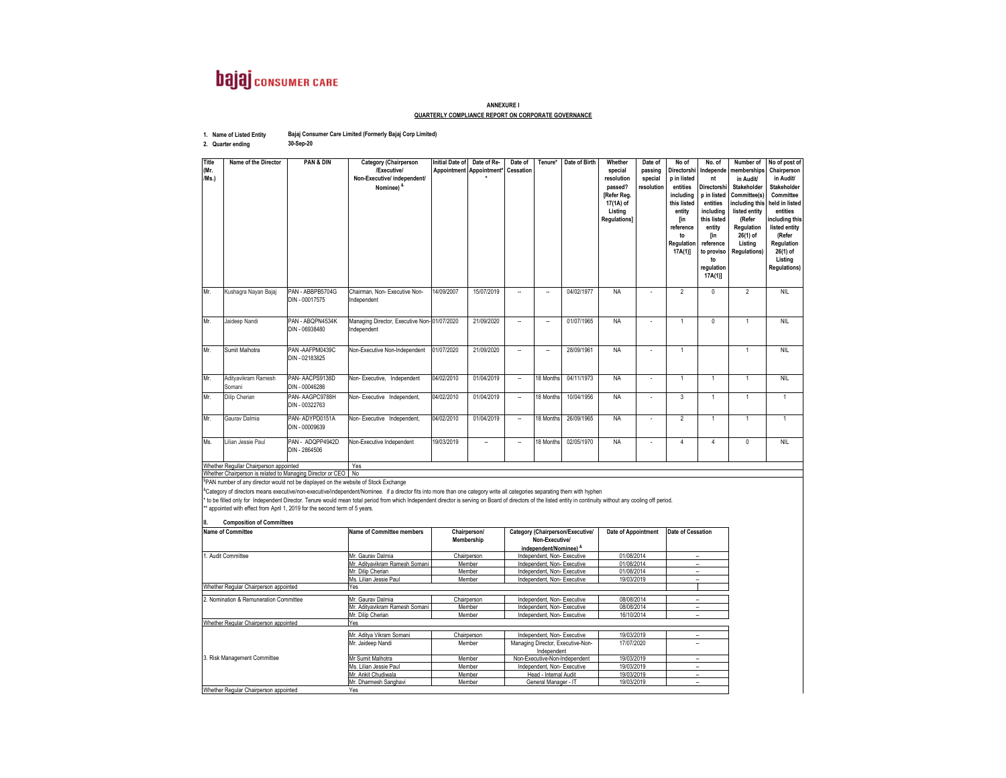## **bajaj** consumer CARE

## **ANNEXURE IQUARTERLY COMPLIANCE REPORT ON CORPORATE GOVERNANCE**

| 1. Name of Listed Entity | Bajaj Consumer Care Limited (Formerly Bajaj Corp Limited) |
|--------------------------|-----------------------------------------------------------|
| 2. Quarter ending        | 30-Sep-20                                                 |

**2. Quarter ending**

| Title<br>(Mr.<br>/Ms.)                 | Name of the Director                                          | PAN & DIN                          | <b>Category (Chairperson</b><br>/Executive/<br>Non-Executive/ independent/<br>Nominee) & | <b>Initial Date of</b> | Date of Re-<br>Appointment Appointment* Cessation | Date of                  | Tenure*                  | Date of Birth | Whether<br>special<br>resolution<br>passed?<br>[Refer Reg.<br>17(1A) of<br>Listing<br><b>Regulations</b> ] | Date of<br>passing<br>special<br>resolution | No of<br>Directorshi<br>p in listed<br>entities<br>including<br>this listed<br>entity<br>[in<br>reference<br>to<br>Regulation<br>$17A(1)$ ] | No. of<br>Independe<br>nt<br>Directorshi<br>p in listed<br>entities<br>includina<br>this listed<br>entity<br><b>fin</b><br>reference<br>to proviso<br>to<br>regulation<br>17A(1) | Number of<br>memberships<br>in Audit/<br>Stakeholder<br>Committee(s)<br>including this<br>listed entity<br>(Refer<br>Regulation<br>26(1) of<br>Listina<br><b>Regulations)</b> | No of post of<br>Chairperson<br>in Audit/<br>Stakeholder<br>Committee<br>held in listed<br>entities<br>including this<br>listed entity<br>(Refer<br>Regulation<br>26(1) of<br>Listing<br><b>Regulations)</b> |
|----------------------------------------|---------------------------------------------------------------|------------------------------------|------------------------------------------------------------------------------------------|------------------------|---------------------------------------------------|--------------------------|--------------------------|---------------|------------------------------------------------------------------------------------------------------------|---------------------------------------------|---------------------------------------------------------------------------------------------------------------------------------------------|----------------------------------------------------------------------------------------------------------------------------------------------------------------------------------|-------------------------------------------------------------------------------------------------------------------------------------------------------------------------------|--------------------------------------------------------------------------------------------------------------------------------------------------------------------------------------------------------------|
| Mr.                                    | Kushagra Nayan Bajaj                                          | PAN - ABBPB5704G<br>DIN - 00017575 | Chairman, Non-Executive Non-<br>Independent                                              | 14/09/2007             | 15/07/2019                                        |                          | $\sim$                   | 04/02/1977    | <b>NA</b>                                                                                                  |                                             | $\mathfrak{p}$                                                                                                                              | $\Omega$                                                                                                                                                                         | 2                                                                                                                                                                             | <b>NIL</b>                                                                                                                                                                                                   |
| Mr.                                    | Jaideep Nandi                                                 | PAN - ABQPN4534K<br>DIN - 06938480 | Managing Director, Executive Non-01/07/2020<br>Independent                               |                        | 21/09/2020                                        | $\sim$                   | $\overline{\phantom{a}}$ | 01/07/1965    | <b>NA</b>                                                                                                  |                                             | $\overline{1}$                                                                                                                              | $\Omega$                                                                                                                                                                         | $\overline{1}$                                                                                                                                                                | <b>NIL</b>                                                                                                                                                                                                   |
| Mr.                                    | Sumit Malhotra                                                | PAN-AAFPM0439C<br>DIN - 02183825   | Non-Executive Non-Independent                                                            | 01/07/2020             | 21/09/2020                                        |                          |                          | 28/09/1961    | <b>NA</b>                                                                                                  |                                             | $\overline{1}$                                                                                                                              |                                                                                                                                                                                  | $\overline{1}$                                                                                                                                                                | <b>NII</b>                                                                                                                                                                                                   |
| Mr.                                    | Adityavikram Ramesh<br>Somani                                 | PAN-AACPS9138D<br>DIN - 00046286   | Non-Executive, Independent                                                               | 04/02/2010             | 01/04/2019                                        | $\overline{\phantom{a}}$ | 18 Months                | 04/11/1973    | <b>NA</b>                                                                                                  |                                             | $\overline{1}$                                                                                                                              | $\overline{1}$                                                                                                                                                                   | $\overline{1}$                                                                                                                                                                | <b>NIL</b>                                                                                                                                                                                                   |
| Mr.                                    | Dilip Cherian                                                 | PAN-AAGPC9788H<br>DIN - 00322763   | Non-Executive Independent,                                                               | 04/02/2010             | 01/04/2019                                        | $\sim$                   | 18 Months                | 10/04/1956    | <b>NA</b>                                                                                                  |                                             | 3                                                                                                                                           | $\overline{1}$                                                                                                                                                                   | $\overline{1}$                                                                                                                                                                | $\mathbf{1}$                                                                                                                                                                                                 |
| Mr.                                    | Gaurav Dalmia                                                 | PAN-ADYPD0151A<br>DIN - 00009639   | Non-Executive Independent,                                                               | 04/02/2010             | 01/04/2019                                        | $\sim$                   | 18 Months                | 26/09/1965    | <b>NA</b>                                                                                                  |                                             | $\overline{2}$                                                                                                                              | $\overline{1}$                                                                                                                                                                   | $\mathbf{1}$                                                                                                                                                                  | $\overline{1}$                                                                                                                                                                                               |
| Ms.                                    | Lilian Jessie Paul                                            | PAN - ADQPP4942D<br>DIN - 2864506  | Non-Executive Independent                                                                | 19/03/2019             | $\overline{\phantom{a}}$                          | $\overline{\phantom{a}}$ | 18 Months                | 02/05/1970    | <b>NA</b>                                                                                                  |                                             | $\overline{4}$                                                                                                                              | $\Delta$                                                                                                                                                                         | $\Omega$                                                                                                                                                                      | <b>NIL</b>                                                                                                                                                                                                   |
| Whether Regullar Chairperson appointed |                                                               |                                    | Yes                                                                                      |                        |                                                   |                          |                          |               |                                                                                                            |                                             |                                                                                                                                             |                                                                                                                                                                                  |                                                                                                                                                                               |                                                                                                                                                                                                              |
|                                        | Whether Chairperson is related to Managing Director or CEO No |                                    |                                                                                          |                        |                                                   |                          |                          |               |                                                                                                            |                                             |                                                                                                                                             |                                                                                                                                                                                  |                                                                                                                                                                               |                                                                                                                                                                                                              |
|                                        | San 1 1 1 1                                                   |                                    |                                                                                          |                        |                                                   |                          |                          |               |                                                                                                            |                                             |                                                                                                                                             |                                                                                                                                                                                  |                                                                                                                                                                               |                                                                                                                                                                                                              |

Whether Chairperson is related to Managing Director or CEO | No<br><sup>5</sup>PAN number of any director would not be displayed on the website of Stock Exchange<br><sup>&</sup>Calegory of directors means executive/non-executive/findependent of t

**II. Composition of Committees**

| <b>Name of Committee</b>               | <b>Name of Committee members</b> | Chairperson/ | Category (Chairperson/Executive/                 | Date of Appointment | <b>Date of Cessation</b> |  |  |  |  |
|----------------------------------------|----------------------------------|--------------|--------------------------------------------------|---------------------|--------------------------|--|--|--|--|
|                                        |                                  | Membership   | Non-Executive/                                   |                     |                          |  |  |  |  |
|                                        |                                  |              | independent/Nominee) &                           |                     |                          |  |  |  |  |
| Audit Committee                        | Mr. Gaurav Dalmia                | Chairperson  | Independent, Non-Executive                       | 01/08/2014          | --                       |  |  |  |  |
|                                        | Mr. Aditvavikram Ramesh Somani   | Member       | Independent, Non-Executive                       | 01/08/2014          | $\overline{\phantom{a}}$ |  |  |  |  |
|                                        | Mr. Dilip Cherian                | Member       | Independent, Non-Executive                       | 01/08/2014          |                          |  |  |  |  |
|                                        | Ms. Lilian Jessie Paul           | Member       | Independent, Non-Executive                       | 19/03/2019          | -                        |  |  |  |  |
| Whether Regular Chairperson appointed  | Yes                              |              |                                                  |                     |                          |  |  |  |  |
| 2. Nomination & Remuneration Committee | Mr. Gaurav Dalmia                | Chairperson  | Independent, Non-Executive                       | 08/08/2014          |                          |  |  |  |  |
|                                        | Mr. Aditvavikram Ramesh Somani   | Member       | Independent, Non-Executive                       | 08/08/2014          |                          |  |  |  |  |
|                                        | Mr. Dilip Cherian                | Member       | Independent, Non-Executive                       | 16/10/2014          | -                        |  |  |  |  |
| Whether Regular Chairperson appointed  | Yes                              |              |                                                  |                     |                          |  |  |  |  |
|                                        | Mr. Aditva Vikram Somani         | Chairperson  | Independent, Non-Executive                       | 19/03/2019          |                          |  |  |  |  |
|                                        | Mr. Jaideep Nandi                | Member       | Managing Director, Executive-Non-<br>Independent | 17/07/2020          |                          |  |  |  |  |
| 3. Risk Management Committee           | Mr Sumit Malhotra                | Member       | Non-Executive-Non-Independent                    | 19/03/2019          |                          |  |  |  |  |
|                                        | Ms. Lilian Jessie Paul           | Member       | Independent, Non-Executive                       | 19/03/2019          | $\overline{\phantom{a}}$ |  |  |  |  |
|                                        | Mr. Ankit Chudiwala              | Member       | Head - Internal Audit                            | 19/03/2019          | -                        |  |  |  |  |
|                                        | Mr. Dharmesh Sanghavi            | Member       | General Manager - IT                             | 19/03/2019          | ۰.                       |  |  |  |  |
| Whether Regular Chairperson appointed  | Yes                              |              |                                                  |                     |                          |  |  |  |  |